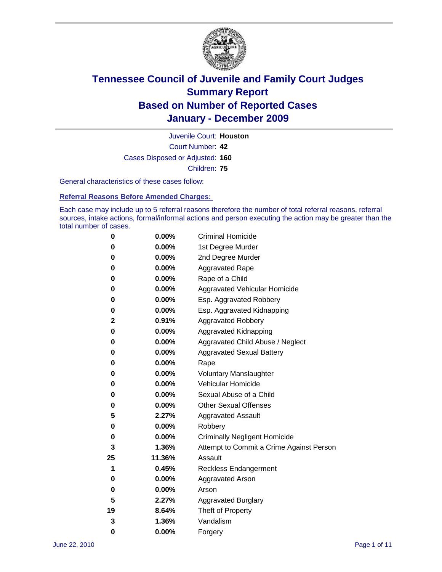

Court Number: **42** Juvenile Court: **Houston** Cases Disposed or Adjusted: **160** Children: **75**

General characteristics of these cases follow:

**Referral Reasons Before Amended Charges:** 

Each case may include up to 5 referral reasons therefore the number of total referral reasons, referral sources, intake actions, formal/informal actions and person executing the action may be greater than the total number of cases.

| 0  | 0.00%    | <b>Criminal Homicide</b>                 |
|----|----------|------------------------------------------|
| 0  | 0.00%    | 1st Degree Murder                        |
| 0  | 0.00%    | 2nd Degree Murder                        |
| 0  | 0.00%    | <b>Aggravated Rape</b>                   |
| 0  | 0.00%    | Rape of a Child                          |
| 0  | 0.00%    | Aggravated Vehicular Homicide            |
| 0  | 0.00%    | Esp. Aggravated Robbery                  |
| 0  | 0.00%    | Esp. Aggravated Kidnapping               |
| 2  | 0.91%    | <b>Aggravated Robbery</b>                |
| 0  | 0.00%    | Aggravated Kidnapping                    |
| 0  | 0.00%    | Aggravated Child Abuse / Neglect         |
| 0  | $0.00\%$ | <b>Aggravated Sexual Battery</b>         |
| 0  | 0.00%    | Rape                                     |
| 0  | 0.00%    | <b>Voluntary Manslaughter</b>            |
| 0  | 0.00%    | Vehicular Homicide                       |
| 0  | 0.00%    | Sexual Abuse of a Child                  |
| 0  | 0.00%    | <b>Other Sexual Offenses</b>             |
| 5  | 2.27%    | <b>Aggravated Assault</b>                |
| 0  | $0.00\%$ | Robbery                                  |
| 0  | 0.00%    | <b>Criminally Negligent Homicide</b>     |
| 3  | 1.36%    | Attempt to Commit a Crime Against Person |
| 25 | 11.36%   | Assault                                  |
| 1  | 0.45%    | <b>Reckless Endangerment</b>             |
| 0  | 0.00%    | <b>Aggravated Arson</b>                  |
| 0  | 0.00%    | Arson                                    |
| 5  | 2.27%    | <b>Aggravated Burglary</b>               |
| 19 | 8.64%    | Theft of Property                        |
| 3  | 1.36%    | Vandalism                                |
| 0  | 0.00%    | Forgery                                  |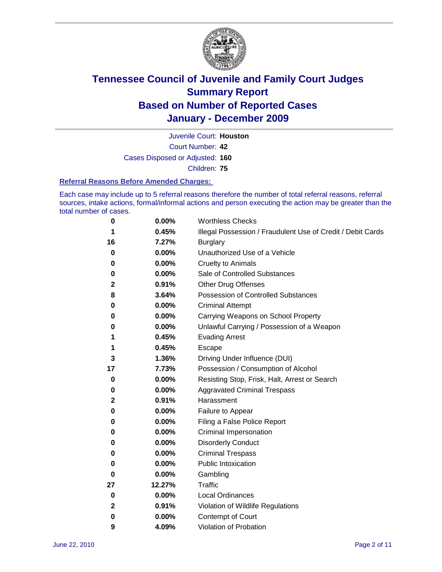

Juvenile Court: **Houston**

Court Number: **42**

Cases Disposed or Adjusted: **160**

Children: **75**

#### **Referral Reasons Before Amended Charges:**

Each case may include up to 5 referral reasons therefore the number of total referral reasons, referral sources, intake actions, formal/informal actions and person executing the action may be greater than the total number of cases.

| 0  | 0.00%  | <b>Worthless Checks</b>                                     |
|----|--------|-------------------------------------------------------------|
| 1  | 0.45%  | Illegal Possession / Fraudulent Use of Credit / Debit Cards |
| 16 | 7.27%  | <b>Burglary</b>                                             |
| 0  | 0.00%  | Unauthorized Use of a Vehicle                               |
| 0  | 0.00%  | <b>Cruelty to Animals</b>                                   |
| 0  | 0.00%  | Sale of Controlled Substances                               |
| 2  | 0.91%  | <b>Other Drug Offenses</b>                                  |
| 8  | 3.64%  | Possession of Controlled Substances                         |
| 0  | 0.00%  | <b>Criminal Attempt</b>                                     |
| 0  | 0.00%  | Carrying Weapons on School Property                         |
| 0  | 0.00%  | Unlawful Carrying / Possession of a Weapon                  |
| 1  | 0.45%  | <b>Evading Arrest</b>                                       |
| 1  | 0.45%  | Escape                                                      |
| 3  | 1.36%  | Driving Under Influence (DUI)                               |
| 17 | 7.73%  | Possession / Consumption of Alcohol                         |
| 0  | 0.00%  | Resisting Stop, Frisk, Halt, Arrest or Search               |
| 0  | 0.00%  | <b>Aggravated Criminal Trespass</b>                         |
| 2  | 0.91%  | Harassment                                                  |
| 0  | 0.00%  | Failure to Appear                                           |
| 0  | 0.00%  | Filing a False Police Report                                |
| 0  | 0.00%  | Criminal Impersonation                                      |
| 0  | 0.00%  | <b>Disorderly Conduct</b>                                   |
| 0  | 0.00%  | <b>Criminal Trespass</b>                                    |
| 0  | 0.00%  | <b>Public Intoxication</b>                                  |
| 0  | 0.00%  | Gambling                                                    |
| 27 | 12.27% | <b>Traffic</b>                                              |
| 0  | 0.00%  | <b>Local Ordinances</b>                                     |
| 2  | 0.91%  | Violation of Wildlife Regulations                           |
| 0  | 0.00%  | Contempt of Court                                           |
| 9  | 4.09%  | Violation of Probation                                      |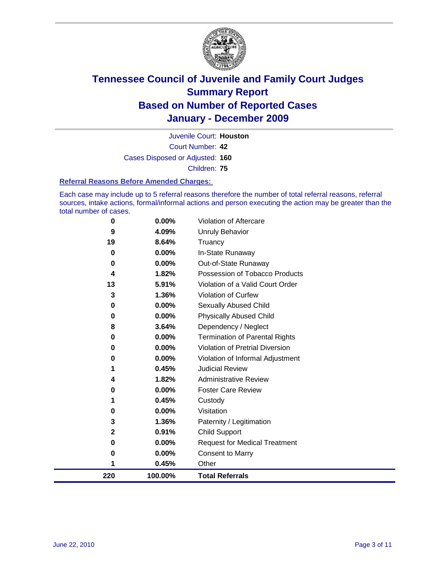

Court Number: **42** Juvenile Court: **Houston** Cases Disposed or Adjusted: **160** Children: **75**

#### **Referral Reasons Before Amended Charges:**

Each case may include up to 5 referral reasons therefore the number of total referral reasons, referral sources, intake actions, formal/informal actions and person executing the action may be greater than the total number of cases.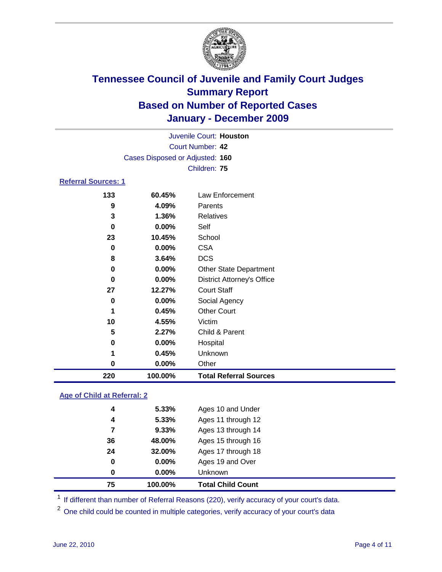

| 220                        | 100.00%                         | <b>Total Referral Sources</b>     |  |  |  |
|----------------------------|---------------------------------|-----------------------------------|--|--|--|
| $\bf{0}$                   | 0.00%                           | Other                             |  |  |  |
| 1                          | 0.45%                           | Unknown                           |  |  |  |
| 0                          | 0.00%                           | Hospital                          |  |  |  |
| 5                          | 2.27%                           | Child & Parent                    |  |  |  |
| 10                         | 4.55%                           | Victim                            |  |  |  |
| 1                          | 0.45%                           | <b>Other Court</b>                |  |  |  |
| $\mathbf 0$                | 0.00%                           | Social Agency                     |  |  |  |
| 27                         | 12.27%                          | <b>Court Staff</b>                |  |  |  |
| 0                          | 0.00%                           | <b>District Attorney's Office</b> |  |  |  |
| 0                          | 0.00%                           | <b>Other State Department</b>     |  |  |  |
| 8                          | 3.64%                           | <b>DCS</b>                        |  |  |  |
| 0                          | 0.00%                           | <b>CSA</b>                        |  |  |  |
| 23                         | 10.45%                          | School                            |  |  |  |
| 0                          | 0.00%                           | Self                              |  |  |  |
| 3                          | 1.36%                           | Relatives                         |  |  |  |
| 9                          | 4.09%                           | Parents                           |  |  |  |
| 133                        | 60.45%                          | <b>Law Enforcement</b>            |  |  |  |
| <b>Referral Sources: 1</b> |                                 |                                   |  |  |  |
|                            |                                 | Children: 75                      |  |  |  |
|                            | Cases Disposed or Adjusted: 160 |                                   |  |  |  |
|                            |                                 | Court Number: 42                  |  |  |  |
|                            | Juvenile Court: Houston         |                                   |  |  |  |
|                            |                                 |                                   |  |  |  |

### **Age of Child at Referral: 2**

| 0  | $0.00\%$ | Unknown            |
|----|----------|--------------------|
|    |          |                    |
| 0  | $0.00\%$ | Ages 19 and Over   |
| 24 | 32.00%   | Ages 17 through 18 |
| 36 | 48.00%   | Ages 15 through 16 |
| 7  | 9.33%    | Ages 13 through 14 |
| 4  | 5.33%    | Ages 11 through 12 |
| 4  | 5.33%    | Ages 10 and Under  |
|    |          |                    |

<sup>1</sup> If different than number of Referral Reasons (220), verify accuracy of your court's data.

<sup>2</sup> One child could be counted in multiple categories, verify accuracy of your court's data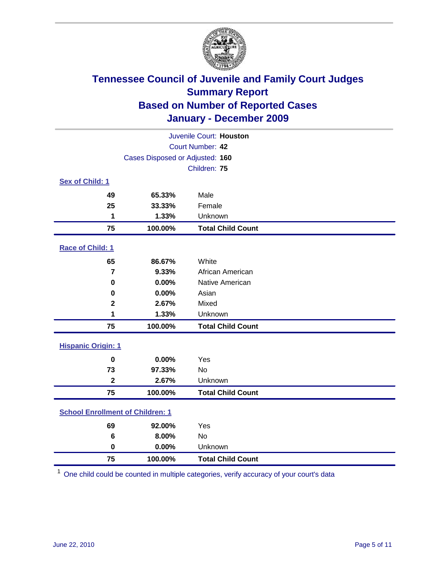

| Juvenile Court: Houston                 |                                 |                          |  |  |  |
|-----------------------------------------|---------------------------------|--------------------------|--|--|--|
| Court Number: 42                        |                                 |                          |  |  |  |
|                                         | Cases Disposed or Adjusted: 160 |                          |  |  |  |
|                                         |                                 | Children: 75             |  |  |  |
| Sex of Child: 1                         |                                 |                          |  |  |  |
| 49                                      | 65.33%                          | Male                     |  |  |  |
| 25                                      | 33.33%                          | Female                   |  |  |  |
| 1                                       | 1.33%                           | Unknown                  |  |  |  |
| 75                                      | 100.00%                         | <b>Total Child Count</b> |  |  |  |
| Race of Child: 1                        |                                 |                          |  |  |  |
| 65                                      | 86.67%                          | White                    |  |  |  |
| $\overline{7}$                          | 9.33%                           | African American         |  |  |  |
| $\mathbf 0$                             | 0.00%                           | Native American          |  |  |  |
| 0                                       | 0.00%                           | Asian                    |  |  |  |
| $\mathbf 2$                             | 2.67%                           | Mixed                    |  |  |  |
| 1                                       | 1.33%                           | Unknown                  |  |  |  |
| 75                                      | 100.00%                         | <b>Total Child Count</b> |  |  |  |
| <b>Hispanic Origin: 1</b>               |                                 |                          |  |  |  |
| $\bf{0}$                                | 0.00%                           | Yes                      |  |  |  |
| 73                                      | 97.33%                          | No                       |  |  |  |
| $\overline{\mathbf{2}}$                 | 2.67%                           | Unknown                  |  |  |  |
| 75                                      | 100.00%                         | <b>Total Child Count</b> |  |  |  |
| <b>School Enrollment of Children: 1</b> |                                 |                          |  |  |  |
| 69                                      | 92.00%                          | Yes                      |  |  |  |
| 6                                       | 8.00%                           | No                       |  |  |  |
| $\mathbf 0$                             | 0.00%                           | Unknown                  |  |  |  |
| 75                                      | 100.00%                         | <b>Total Child Count</b> |  |  |  |

One child could be counted in multiple categories, verify accuracy of your court's data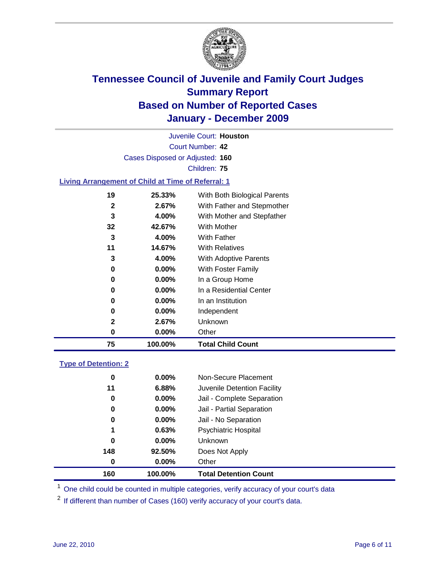

Court Number: **42** Juvenile Court: **Houston** Cases Disposed or Adjusted: **160** Children: **75**

### **Living Arrangement of Child at Time of Referral: 1**

| 75 | 100.00%  | <b>Total Child Count</b>     |
|----|----------|------------------------------|
| 0  | 0.00%    | Other                        |
| 2  | 2.67%    | Unknown                      |
| 0  | $0.00\%$ | Independent                  |
| 0  | 0.00%    | In an Institution            |
| 0  | $0.00\%$ | In a Residential Center      |
| 0  | $0.00\%$ | In a Group Home              |
| 0  | $0.00\%$ | With Foster Family           |
| 3  | 4.00%    | <b>With Adoptive Parents</b> |
| 11 | 14.67%   | <b>With Relatives</b>        |
| 3  | 4.00%    | With Father                  |
| 32 | 42.67%   | <b>With Mother</b>           |
| 3  | 4.00%    | With Mother and Stepfather   |
| 2  | 2.67%    | With Father and Stepmother   |
| 19 | 25.33%   | With Both Biological Parents |
|    |          |                              |

### **Type of Detention: 2**

| 160 | 100.00%  | <b>Total Detention Count</b> |  |
|-----|----------|------------------------------|--|
| 0   | 0.00%    | Other                        |  |
| 148 | 92.50%   | Does Not Apply               |  |
| 0   | $0.00\%$ | Unknown                      |  |
| 1   | 0.63%    | <b>Psychiatric Hospital</b>  |  |
| 0   | 0.00%    | Jail - No Separation         |  |
| 0   | $0.00\%$ | Jail - Partial Separation    |  |
| 0   | 0.00%    | Jail - Complete Separation   |  |
| 11  | 6.88%    | Juvenile Detention Facility  |  |
| 0   | $0.00\%$ | Non-Secure Placement         |  |
|     |          |                              |  |

<sup>1</sup> One child could be counted in multiple categories, verify accuracy of your court's data

<sup>2</sup> If different than number of Cases (160) verify accuracy of your court's data.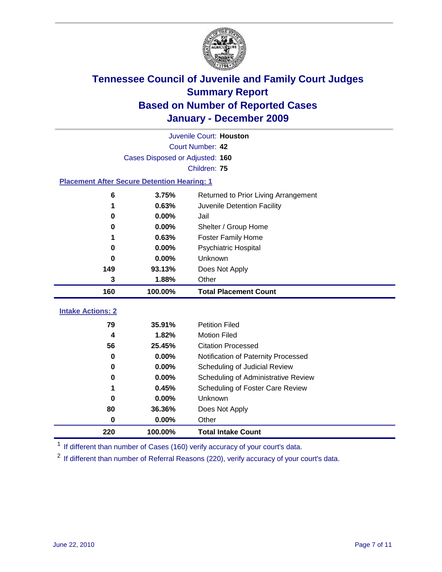

|                                                    | Juvenile Court: Houston         |                                      |  |  |  |  |
|----------------------------------------------------|---------------------------------|--------------------------------------|--|--|--|--|
|                                                    | Court Number: 42                |                                      |  |  |  |  |
|                                                    | Cases Disposed or Adjusted: 160 |                                      |  |  |  |  |
|                                                    | Children: 75                    |                                      |  |  |  |  |
| <b>Placement After Secure Detention Hearing: 1</b> |                                 |                                      |  |  |  |  |
| 6                                                  | 3.75%                           | Returned to Prior Living Arrangement |  |  |  |  |
| 1                                                  | 0.63%                           | Juvenile Detention Facility          |  |  |  |  |
| 0                                                  | 0.00%                           | Jail                                 |  |  |  |  |
| 0                                                  | 0.00%                           | Shelter / Group Home                 |  |  |  |  |
| 1                                                  | 0.63%                           | <b>Foster Family Home</b>            |  |  |  |  |
| 0                                                  | 0.00%                           | Psychiatric Hospital                 |  |  |  |  |
| 0                                                  | 0.00%                           | Unknown                              |  |  |  |  |
| 149                                                | 93.13%                          | Does Not Apply                       |  |  |  |  |
| 3                                                  | 1.88%                           | Other                                |  |  |  |  |
| 160                                                | 100.00%                         | <b>Total Placement Count</b>         |  |  |  |  |
| <b>Intake Actions: 2</b>                           |                                 |                                      |  |  |  |  |
| 79                                                 |                                 |                                      |  |  |  |  |
|                                                    | 35.91%                          | <b>Petition Filed</b>                |  |  |  |  |
| 4                                                  | 1.82%                           | <b>Motion Filed</b>                  |  |  |  |  |
| 56                                                 | 25.45%                          | <b>Citation Processed</b>            |  |  |  |  |
| 0                                                  | 0.00%                           | Notification of Paternity Processed  |  |  |  |  |
| $\mathbf 0$                                        | 0.00%                           | Scheduling of Judicial Review        |  |  |  |  |
| 0                                                  | 0.00%                           | Scheduling of Administrative Review  |  |  |  |  |
| 1                                                  | 0.45%                           | Scheduling of Foster Care Review     |  |  |  |  |
| $\bf{0}$                                           | 0.00%                           | Unknown                              |  |  |  |  |
| 80                                                 | 36.36%                          | Does Not Apply                       |  |  |  |  |
| $\bf{0}$                                           | 0.00%                           | Other                                |  |  |  |  |

<sup>1</sup> If different than number of Cases (160) verify accuracy of your court's data.

<sup>2</sup> If different than number of Referral Reasons (220), verify accuracy of your court's data.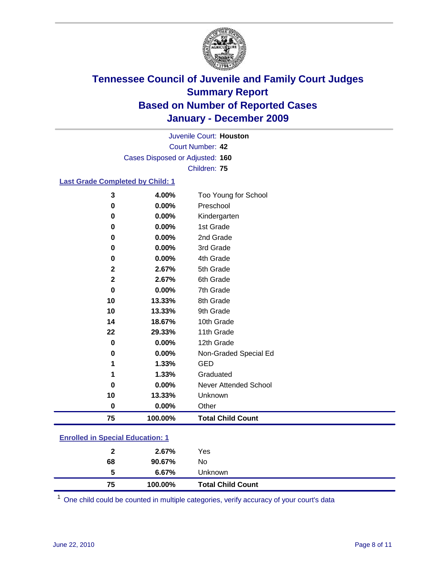

Court Number: **42** Juvenile Court: **Houston** Cases Disposed or Adjusted: **160** Children: **75**

### **Last Grade Completed by Child: 1**

| 75           | 100.00%        | <b>Total Child Count</b>          |
|--------------|----------------|-----------------------------------|
| $\bf{0}$     | 0.00%          | Other                             |
| 10           | 13.33%         | Unknown                           |
| 0            | 0.00%          | Never Attended School             |
| 1            | 1.33%          | Graduated                         |
| 1            | 1.33%          | <b>GED</b>                        |
| 0            | 0.00%          | Non-Graded Special Ed             |
| 0            | 0.00%          | 12th Grade                        |
| 22           | 29.33%         | 11th Grade                        |
| 14           | 18.67%         | 10th Grade                        |
| 10           | 13.33%         | 9th Grade                         |
| 10           | 13.33%         | 8th Grade                         |
| 0            | 0.00%          | 7th Grade                         |
| $\mathbf{2}$ | 2.67%          | 6th Grade                         |
| $\mathbf{2}$ | 2.67%          | 5th Grade                         |
| 0            | 0.00%          | 4th Grade                         |
| 0            | 0.00%          | 3rd Grade                         |
| 0            | 0.00%          | 2nd Grade                         |
| 0            | 0.00%          | 1st Grade                         |
| 0            | 0.00%          | Kindergarten                      |
| 3<br>0       | 4.00%<br>0.00% | Too Young for School<br>Preschool |

#### **Enrolled in Special Education: 1**

| 75 | 100.00% | <b>Total Child Count</b> |
|----|---------|--------------------------|
| -5 | 6.67%   | <b>Unknown</b>           |
| 68 | 90.67%  | No                       |
| 2  | 2.67%   | Yes                      |
|    |         |                          |

One child could be counted in multiple categories, verify accuracy of your court's data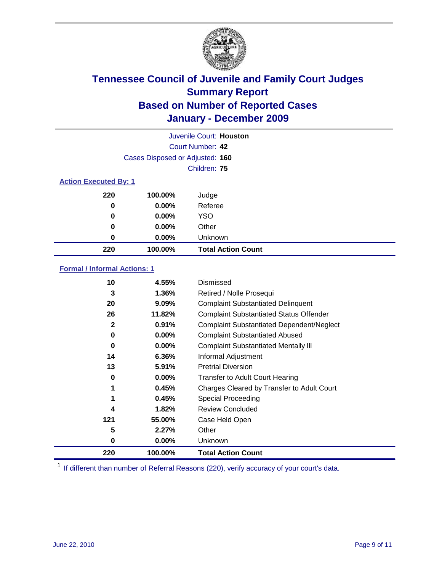

|                              | Juvenile Court: Houston         |                           |  |  |  |
|------------------------------|---------------------------------|---------------------------|--|--|--|
|                              | Court Number: 42                |                           |  |  |  |
|                              | Cases Disposed or Adjusted: 160 |                           |  |  |  |
|                              | Children: 75                    |                           |  |  |  |
| <b>Action Executed By: 1</b> |                                 |                           |  |  |  |
| 220                          | 100.00%                         | Judge                     |  |  |  |
| 0                            | $0.00\%$                        | Referee                   |  |  |  |
| 0                            | $0.00\%$                        | <b>YSO</b>                |  |  |  |
| 0                            | $0.00\%$                        | Other                     |  |  |  |
| 0                            | 0.00%                           | Unknown                   |  |  |  |
| 220                          | 100.00%                         | <b>Total Action Count</b> |  |  |  |

### **Formal / Informal Actions: 1**

| 10           | 4.55%    | Dismissed                                        |
|--------------|----------|--------------------------------------------------|
| 3            | $1.36\%$ | Retired / Nolle Prosequi                         |
| 20           | $9.09\%$ | <b>Complaint Substantiated Delinquent</b>        |
| 26           | 11.82%   | <b>Complaint Substantiated Status Offender</b>   |
| $\mathbf{2}$ | 0.91%    | <b>Complaint Substantiated Dependent/Neglect</b> |
| 0            | $0.00\%$ | <b>Complaint Substantiated Abused</b>            |
| 0            | $0.00\%$ | <b>Complaint Substantiated Mentally III</b>      |
| 14           | 6.36%    | Informal Adjustment                              |
| 13           | 5.91%    | <b>Pretrial Diversion</b>                        |
| 0            | $0.00\%$ | <b>Transfer to Adult Court Hearing</b>           |
| 1            | 0.45%    | Charges Cleared by Transfer to Adult Court       |
| 1            | 0.45%    | Special Proceeding                               |
| 4            | 1.82%    | <b>Review Concluded</b>                          |
| 121          | 55.00%   | Case Held Open                                   |
| 5            | 2.27%    | Other                                            |
| 0            | $0.00\%$ | <b>Unknown</b>                                   |
| 220          | 100.00%  | <b>Total Action Count</b>                        |

<sup>1</sup> If different than number of Referral Reasons (220), verify accuracy of your court's data.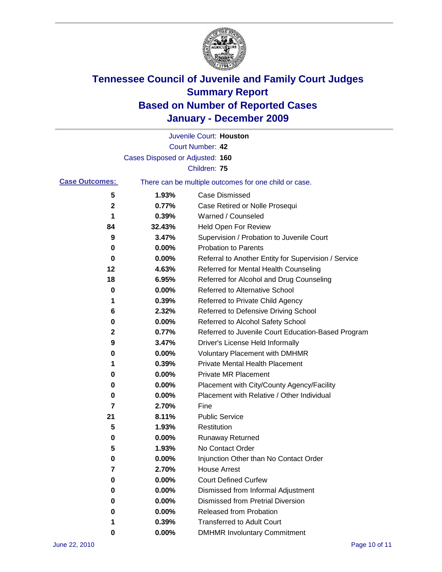

|                       |                                 | Juvenile Court: Houston                               |
|-----------------------|---------------------------------|-------------------------------------------------------|
|                       |                                 | <b>Court Number: 42</b>                               |
|                       | Cases Disposed or Adjusted: 160 |                                                       |
|                       |                                 | Children: 75                                          |
| <b>Case Outcomes:</b> |                                 | There can be multiple outcomes for one child or case. |
| 5                     | 1.93%                           | <b>Case Dismissed</b>                                 |
| 2                     | 0.77%                           | Case Retired or Nolle Prosequi                        |
| 1                     | 0.39%                           | Warned / Counseled                                    |
| 84                    | 32.43%                          | Held Open For Review                                  |
| 9                     | 3.47%                           | Supervision / Probation to Juvenile Court             |
| 0                     | 0.00%                           | <b>Probation to Parents</b>                           |
| 0                     | 0.00%                           | Referral to Another Entity for Supervision / Service  |
| 12                    | 4.63%                           | Referred for Mental Health Counseling                 |
| 18                    | 6.95%                           | Referred for Alcohol and Drug Counseling              |
| 0                     | 0.00%                           | Referred to Alternative School                        |
| 1                     | 0.39%                           | Referred to Private Child Agency                      |
| 6                     | 2.32%                           | Referred to Defensive Driving School                  |
| 0                     | 0.00%                           | Referred to Alcohol Safety School                     |
| 2                     | 0.77%                           | Referred to Juvenile Court Education-Based Program    |
| 9                     | 3.47%                           | Driver's License Held Informally                      |
| 0                     | 0.00%                           | <b>Voluntary Placement with DMHMR</b>                 |
| 1                     | 0.39%                           | <b>Private Mental Health Placement</b>                |
| 0                     | 0.00%                           | <b>Private MR Placement</b>                           |
| 0                     | 0.00%                           | Placement with City/County Agency/Facility            |
| 0                     | 0.00%                           | Placement with Relative / Other Individual            |
| 7                     | 2.70%                           | Fine                                                  |
| 21                    | 8.11%                           | <b>Public Service</b>                                 |
| 5                     | 1.93%                           | Restitution                                           |
| 0                     | 0.00%                           | <b>Runaway Returned</b>                               |
| 5                     | 1.93%                           | No Contact Order                                      |
| 0                     | 0.00%                           | Injunction Other than No Contact Order                |
| 7                     | 2.70%                           | <b>House Arrest</b>                                   |
| 0                     | 0.00%                           | <b>Court Defined Curfew</b>                           |
| 0                     | 0.00%                           | Dismissed from Informal Adjustment                    |
| 0                     | $0.00\%$                        | <b>Dismissed from Pretrial Diversion</b>              |
| 0                     | 0.00%                           | Released from Probation                               |
| 1                     | 0.39%                           | <b>Transferred to Adult Court</b>                     |
| 0                     | 0.00%                           | <b>DMHMR Involuntary Commitment</b>                   |